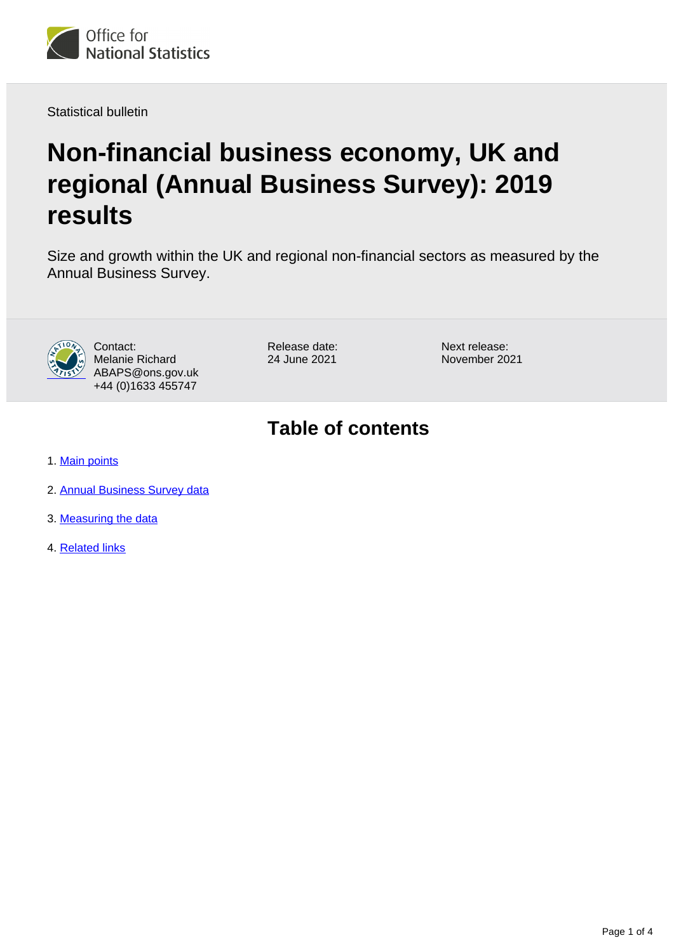

Statistical bulletin

# **Non-financial business economy, UK and regional (Annual Business Survey): 2019 results**

Size and growth within the UK and regional non-financial sectors as measured by the Annual Business Survey.



Contact: Melanie Richard ABAPS@ons.gov.uk +44 (0)1633 455747

Release date: 24 June 2021

Next release: November 2021

# **Table of contents**

- 1. [Main points](#page-1-0)
- 2. [Annual Business Survey data](#page-2-0)
- 3. [Measuring the data](#page-2-1)
- 4. [Related links](#page-3-0)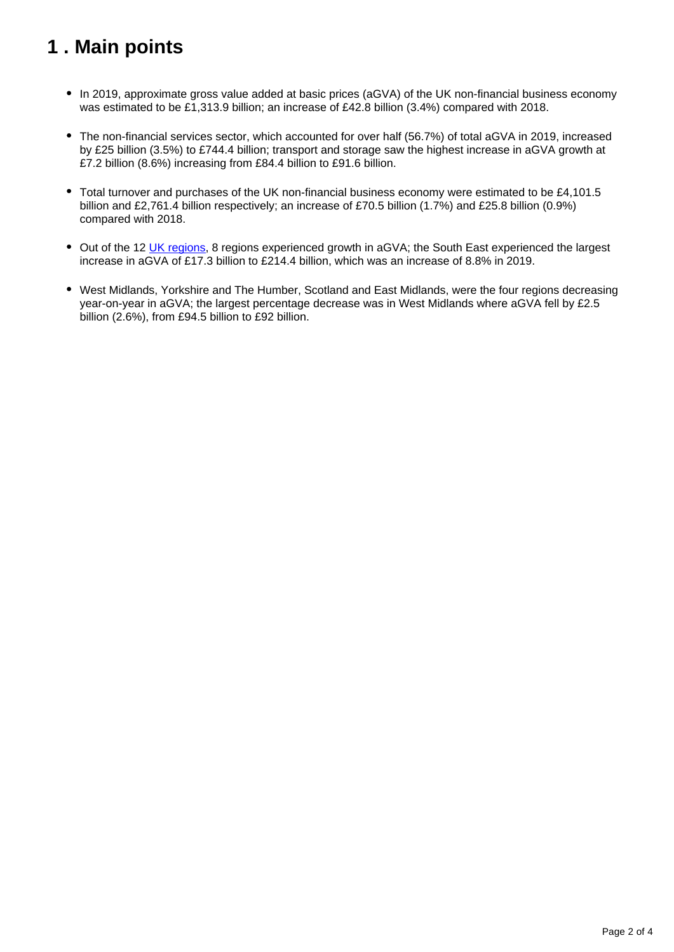# <span id="page-1-0"></span>**1 . Main points**

- In 2019, approximate gross value added at basic prices (aGVA) of the UK non-financial business economy was estimated to be £1,313.9 billion; an increase of £42.8 billion (3.4%) compared with 2018.
- The non-financial services sector, which accounted for over half (56.7%) of total aGVA in 2019, increased by £25 billion (3.5%) to £744.4 billion; transport and storage saw the highest increase in aGVA growth at £7.2 billion (8.6%) increasing from £84.4 billion to £91.6 billion.
- Total turnover and purchases of the UK non-financial business economy were estimated to be £4,101.5 billion and £2,761.4 billion respectively; an increase of £70.5 billion (1.7%) and £25.8 billion (0.9%) compared with 2018.
- Out of the 12 [UK regions,](https://www.ons.gov.uk/methodology/geography/geographicalproducts/namescodesandlookups/namesandcodeslistings/namesandcodesforeurostatgeography) 8 regions experienced growth in aGVA; the South East experienced the largest increase in aGVA of £17.3 billion to £214.4 billion, which was an increase of 8.8% in 2019.
- West Midlands, Yorkshire and The Humber, Scotland and East Midlands, were the four regions decreasing year-on-year in aGVA; the largest percentage decrease was in West Midlands where aGVA fell by £2.5 billion (2.6%), from £94.5 billion to £92 billion.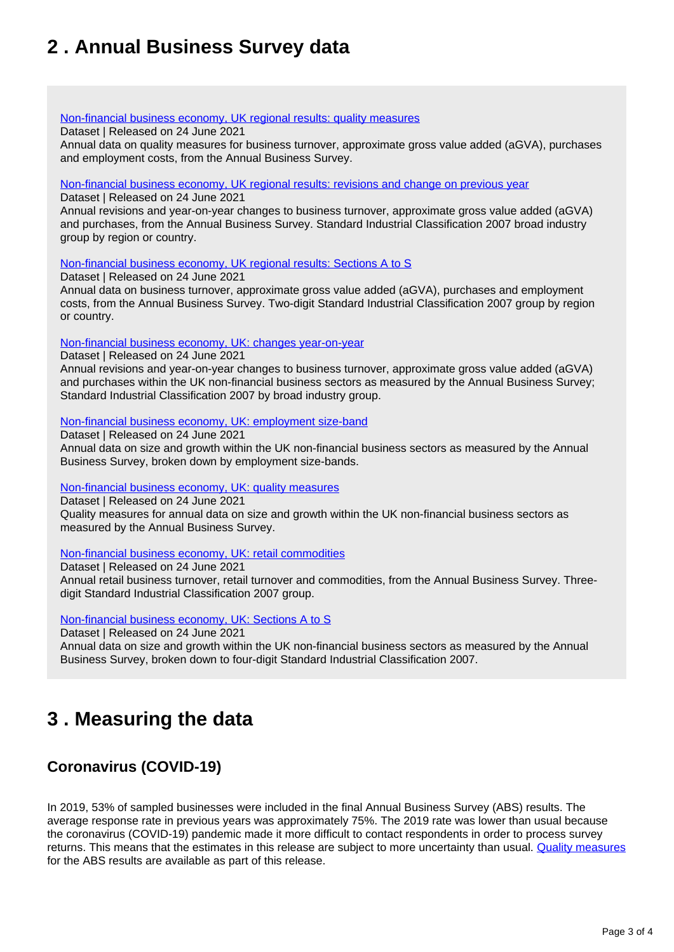# <span id="page-2-0"></span>**2 . Annual Business Survey data**

#### [Non-financial business economy, UK regional results: quality measures](https://www.ons.gov.uk/businessindustryandtrade/business/businessservices/datasets/uknonfinancialbusinesseconomyannualbusinesssurveyregionalresultsqualitymeasures)

Dataset | Released on 24 June 2021

Annual data on quality measures for business turnover, approximate gross value added (aGVA), purchases and employment costs, from the Annual Business Survey.

#### [Non-financial business economy, UK regional results: revisions and change on previous year](https://www.ons.gov.uk/businessindustryandtrade/business/businessservices/datasets/uknonfinancialbusinesseconomyannualbusinesssurveyrevisionsandchangeonpreviousyear)

Dataset | Released on 24 June 2021

Annual revisions and year-on-year changes to business turnover, approximate gross value added (aGVA) and purchases, from the Annual Business Survey. Standard Industrial Classification 2007 broad industry group by region or country.

[Non-financial business economy, UK regional results: Sections A to S](https://www.ons.gov.uk/businessindustryandtrade/business/businessservices/datasets/uknonfinancialbusinesseconomyannualbusinesssurveyregionalresultssectionsas)

Dataset | Released on 24 June 2021

Annual data on business turnover, approximate gross value added (aGVA), purchases and employment costs, from the Annual Business Survey. Two-digit Standard Industrial Classification 2007 group by region or country.

[Non-financial business economy, UK: changes year-on-year](https://www.ons.gov.uk/businessindustryandtrade/business/businessservices/datasets/uknonfinancialbusinesseconomyannualbusinesssurveychangesyearonyear)

Dataset | Released on 24 June 2021

Annual revisions and year-on-year changes to business turnover, approximate gross value added (aGVA) and purchases within the UK non-financial business sectors as measured by the Annual Business Survey; Standard Industrial Classification 2007 by broad industry group.

[Non-financial business economy, UK: employment size-band](https://www.ons.gov.uk/businessindustryandtrade/business/businessservices/datasets/uknonfinancialbusinesseconomyannualbusinesssurveyemploymentsizeband)

Dataset | Released on 24 June 2021 Annual data on size and growth within the UK non-financial business sectors as measured by the Annual Business Survey, broken down by employment size-bands.

#### [Non-financial business economy, UK: quality measures](https://www.ons.gov.uk/businessindustryandtrade/business/businessservices/datasets/uknonfinancialbusinesseconomyannualbusinesssurveyqualitymeasures)

Dataset | Released on 24 June 2021 Quality measures for annual data on size and growth within the UK non-financial business sectors as measured by the Annual Business Survey.

[Non-financial business economy, UK: retail commodities](https://www.ons.gov.uk/businessindustryandtrade/business/businessservices/datasets/uknonfinancialbusinesseconomyannualbusinesssurveyretailcommodities)

Dataset | Released on 24 June 2021

Annual retail business turnover, retail turnover and commodities, from the Annual Business Survey. Threedigit Standard Industrial Classification 2007 group.

[Non-financial business economy, UK: Sections A to S](https://www.ons.gov.uk/businessindustryandtrade/business/businessservices/datasets/uknonfinancialbusinesseconomyannualbusinesssurveysectionsas)

Dataset | Released on 24 June 2021

Annual data on size and growth within the UK non-financial business sectors as measured by the Annual Business Survey, broken down to four-digit Standard Industrial Classification 2007.

## <span id="page-2-1"></span>**3 . Measuring the data**

### **Coronavirus (COVID-19)**

In 2019, 53% of sampled businesses were included in the final Annual Business Survey (ABS) results. The average response rate in previous years was approximately 75%. The 2019 rate was lower than usual because the coronavirus (COVID-19) pandemic made it more difficult to contact respondents in order to process survey returns. This means that the estimates in this release are subject to more uncertainty than usual. [Quality measures](https://www.ons.gov.uk/businessindustryandtrade/business/businessservices/datasets/uknonfinancialbusinesseconomyannualbusinesssurveyqualitymeasures) for the ABS results are available as part of this release.